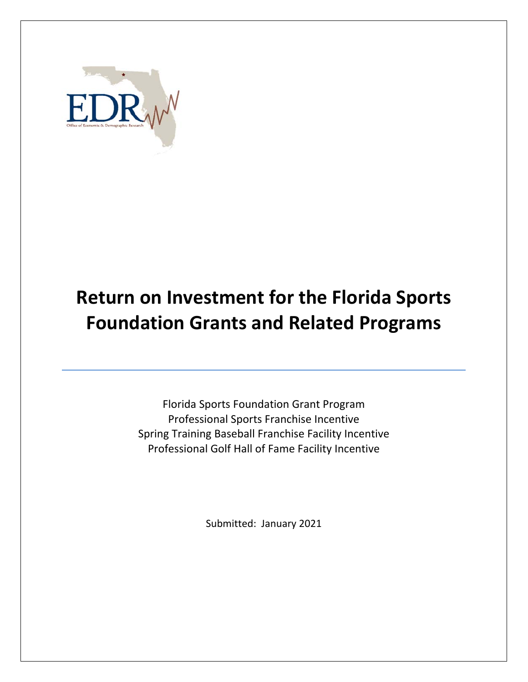

# **Return on Investment for the Florida Sports Foundation Grants and Related Programs**

Florida Sports Foundation Grant Program Professional Sports Franchise Incentive Spring Training Baseball Franchise Facility Incentive Professional Golf Hall of Fame Facility Incentive

Submitted: January 2021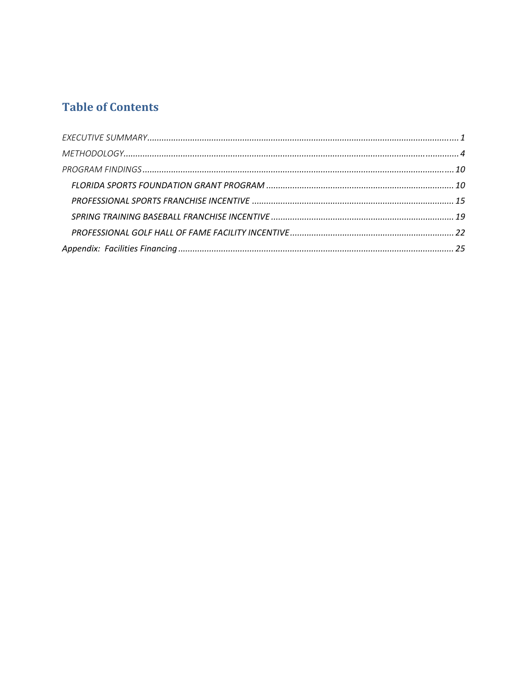## **Table of Contents**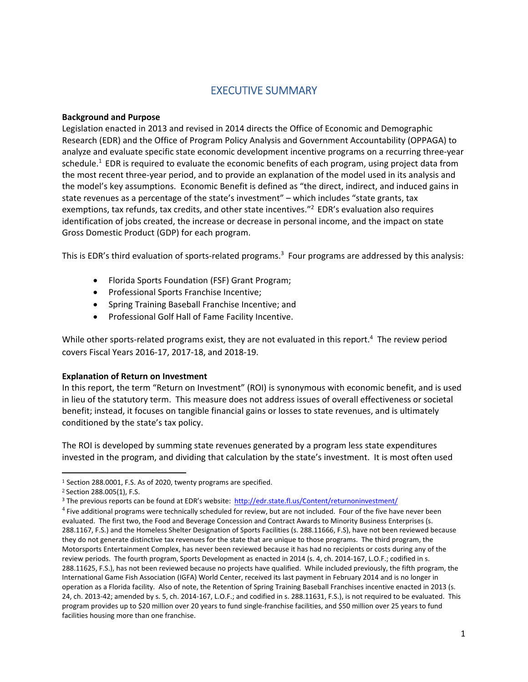## EXECUTIVE SUMMARY

#### **Background and Purpose**

Legislation enacted in 2013 and revised in 2014 directs the Office of Economic and Demographic Research (EDR) and the Office of Program Policy Analysis and Government Accountability (OPPAGA) to analyze and evaluate specific state economic development incentive programs on a recurring three‐year schedule.<sup>1</sup> EDR is required to evaluate the economic benefits of each program, using project data from the most recent three‐year period, and to provide an explanation of the model used in its analysis and the model's key assumptions. Economic Benefit is defined as "the direct, indirect, and induced gains in state revenues as a percentage of the state's investment" – which includes "state grants, tax exemptions, tax refunds, tax credits, and other state incentives."<sup>2</sup> EDR's evaluation also requires identification of jobs created, the increase or decrease in personal income, and the impact on state Gross Domestic Product (GDP) for each program.

This is EDR's third evaluation of sports-related programs.<sup>3</sup> Four programs are addressed by this analysis:

- Florida Sports Foundation (FSF) Grant Program;
- Professional Sports Franchise Incentive;
- Spring Training Baseball Franchise Incentive; and
- Professional Golf Hall of Fame Facility Incentive.

While other sports-related programs exist, they are not evaluated in this report.<sup>4</sup> The review period covers Fiscal Years 2016‐17, 2017‐18, and 2018‐19.

#### **Explanation of Return on Investment**

In this report, the term "Return on Investment" (ROI) is synonymous with economic benefit, and is used in lieu of the statutory term. This measure does not address issues of overall effectiveness or societal benefit; instead, it focuses on tangible financial gains or losses to state revenues, and is ultimately conditioned by the state's tax policy.

The ROI is developed by summing state revenues generated by a program less state expenditures invested in the program, and dividing that calculation by the state's investment. It is most often used

<sup>1</sup> Section 288.0001, F.S. As of 2020, twenty programs are specified.

<sup>2</sup> Section 288.005(1), F.S.

<sup>3</sup> The previous reports can be found at EDR's website:http://edr.state.fl.us/Content/returnoninvestment/

<sup>4</sup> Five additional programs were technically scheduled for review, but are not included. Four of the five have never been evaluated. The first two, the Food and Beverage Concession and Contract Awards to Minority Business Enterprises (s. 288.1167, F.S.) and the Homeless Shelter Designation of Sports Facilities (s. 288.11666, F.S), have not been reviewed because they do not generate distinctive tax revenues for the state that are unique to those programs. The third program, the Motorsports Entertainment Complex, has never been reviewed because it has had no recipients or costs during any of the review periods. The fourth program, Sports Development as enacted in 2014 (s. 4, ch. 2014‐167, L.O.F.; codified in s. 288.11625, F.S.), has not been reviewed because no projects have qualified. While included previously, the fifth program, the International Game Fish Association (IGFA) World Center, received its last payment in February 2014 and is no longer in operation as a Florida facility. Also of note, the Retention of Spring Training Baseball Franchises incentive enacted in 2013 (s. 24, ch. 2013‐42; amended by s. 5, ch. 2014‐167, L.O.F.; and codified in s. 288.11631, F.S.), is not required to be evaluated. This program provides up to \$20 million over 20 years to fund single‐franchise facilities, and \$50 million over 25 years to fund facilities housing more than one franchise.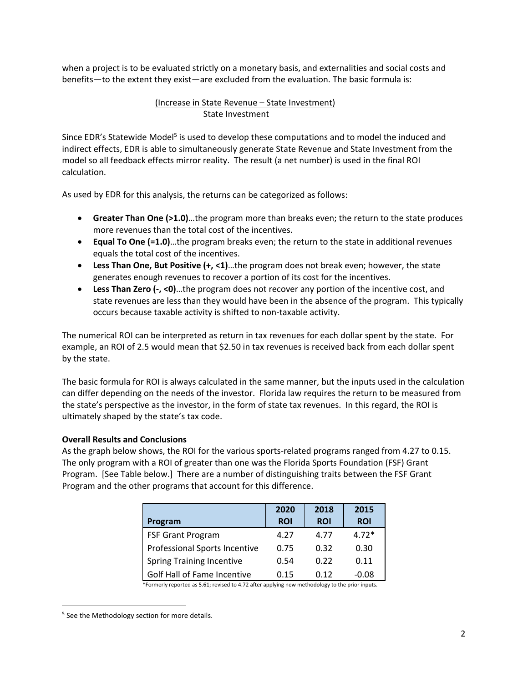when a project is to be evaluated strictly on a monetary basis, and externalities and social costs and benefits—to the extent they exist—are excluded from the evaluation. The basic formula is:

#### (Increase in State Revenue – State Investment) State Investment

Since EDR's Statewide Model<sup>5</sup> is used to develop these computations and to model the induced and indirect effects, EDR is able to simultaneously generate State Revenue and State Investment from the model so all feedback effects mirror reality. The result (a net number) is used in the final ROI calculation.

As used by EDR for this analysis, the returns can be categorized as follows:

- **Greater Than One (>1.0)**…the program more than breaks even; the return to the state produces more revenues than the total cost of the incentives.
- **Equal To One (=1.0)**…the program breaks even; the return to the state in additional revenues equals the total cost of the incentives.
- **Less Than One, But Positive (+, <1)**…the program does not break even; however, the state generates enough revenues to recover a portion of its cost for the incentives.
- **Less Than Zero (‐, <0)**…the program does not recover any portion of the incentive cost, and state revenues are less than they would have been in the absence of the program. This typically occurs because taxable activity is shifted to non‐taxable activity.

The numerical ROI can be interpreted as return in tax revenues for each dollar spent by the state. For example, an ROI of 2.5 would mean that \$2.50 in tax revenues is received back from each dollar spent by the state.

The basic formula for ROI is always calculated in the same manner, but the inputs used in the calculation can differ depending on the needs of the investor. Florida law requires the return to be measured from the state's perspective as the investor, in the form of state tax revenues. In this regard, the ROI is ultimately shaped by the state's tax code.

#### **Overall Results and Conclusions**

As the graph below shows, the ROI for the various sports-related programs ranged from 4.27 to 0.15. The only program with a ROI of greater than one was the Florida Sports Foundation (FSF) Grant Program. [See Table below.] There are a number of distinguishing traits between the FSF Grant Program and the other programs that account for this difference.

|                                  | 2020       | 2018       | 2015       |
|----------------------------------|------------|------------|------------|
| Program                          | <b>ROI</b> | <b>ROI</b> | <b>ROI</b> |
| <b>FSF Grant Program</b>         | 4.27       | 4.77       | $4.72*$    |
| Professional Sports Incentive    | 0.75       | 0.32       | 0.30       |
| <b>Spring Training Incentive</b> | 0.54       | 0.22       | 0.11       |
| Golf Hall of Fame Incentive      | 0.15       | 0.12       | $-0.08$    |

\*Formerly reported as 5.61; revised to 4.72 after applying new methodology to the prior inputs.

<sup>&</sup>lt;sup>5</sup> See the Methodology section for more details.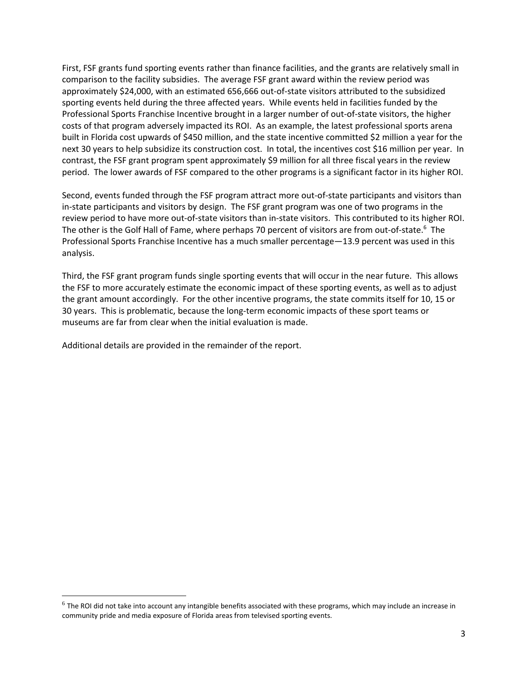First, FSF grants fund sporting events rather than finance facilities, and the grants are relatively small in comparison to the facility subsidies. The average FSF grant award within the review period was approximately \$24,000, with an estimated 656,666 out‐of‐state visitors attributed to the subsidized sporting events held during the three affected years. While events held in facilities funded by the Professional Sports Franchise Incentive brought in a larger number of out‐of‐state visitors, the higher costs of that program adversely impacted its ROI. As an example, the latest professional sports arena built in Florida cost upwards of \$450 million, and the state incentive committed \$2 million a year for the next 30 years to help subsidize its construction cost. In total, the incentives cost \$16 million per year. In contrast, the FSF grant program spent approximately \$9 million for all three fiscal years in the review period. The lower awards of FSF compared to the other programs is a significant factor in its higher ROI.

Second, events funded through the FSF program attract more out‐of‐state participants and visitors than in-state participants and visitors by design. The FSF grant program was one of two programs in the review period to have more out‐of‐state visitors than in‐state visitors. This contributed to its higher ROI. The other is the Golf Hall of Fame, where perhaps 70 percent of visitors are from out-of-state.<sup>6</sup> The Professional Sports Franchise Incentive has a much smaller percentage—13.9 percent was used in this analysis.

Third, the FSF grant program funds single sporting events that will occur in the near future. This allows the FSF to more accurately estimate the economic impact of these sporting events, as well as to adjust the grant amount accordingly. For the other incentive programs, the state commits itself for 10, 15 or 30 years. This is problematic, because the long‐term economic impacts of these sport teams or museums are far from clear when the initial evaluation is made.

Additional details are provided in the remainder of the report.

 $6$  The ROI did not take into account any intangible benefits associated with these programs, which may include an increase in community pride and media exposure of Florida areas from televised sporting events.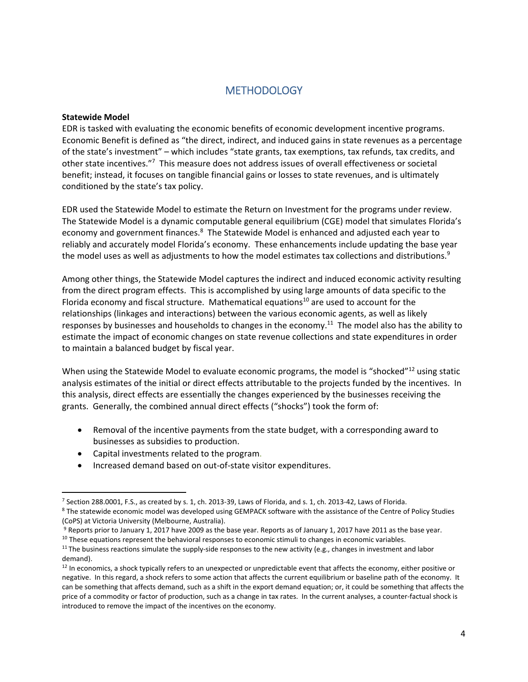### **METHODOLOGY**

#### **Statewide Model**

EDR is tasked with evaluating the economic benefits of economic development incentive programs. Economic Benefit is defined as "the direct, indirect, and induced gains in state revenues as a percentage of the state's investment" – which includes "state grants, tax exemptions, tax refunds, tax credits, and other state incentives."<sup>7</sup> This measure does not address issues of overall effectiveness or societal benefit; instead, it focuses on tangible financial gains or losses to state revenues, and is ultimately conditioned by the state's tax policy.

EDR used the Statewide Model to estimate the Return on Investment for the programs under review. The Statewide Model is a dynamic computable general equilibrium (CGE) model that simulates Florida's economy and government finances.<sup>8</sup> The Statewide Model is enhanced and adjusted each year to reliably and accurately model Florida's economy. These enhancements include updating the base year the model uses as well as adjustments to how the model estimates tax collections and distributions.<sup>9</sup>

Among other things, the Statewide Model captures the indirect and induced economic activity resulting from the direct program effects. This is accomplished by using large amounts of data specific to the Florida economy and fiscal structure. Mathematical equations<sup>10</sup> are used to account for the relationships (linkages and interactions) between the various economic agents, as well as likely responses by businesses and households to changes in the economy.<sup>11</sup> The model also has the ability to estimate the impact of economic changes on state revenue collections and state expenditures in order to maintain a balanced budget by fiscal year.

When using the Statewide Model to evaluate economic programs, the model is "shocked"<sup>12</sup> using static analysis estimates of the initial or direct effects attributable to the projects funded by the incentives. In this analysis, direct effects are essentially the changes experienced by the businesses receiving the grants. Generally, the combined annual direct effects ("shocks") took the form of:

- Removal of the incentive payments from the state budget, with a corresponding award to businesses as subsidies to production.
- Capital investments related to the program.
- Increased demand based on out‐of‐state visitor expenditures.

<sup>7</sup> Section 288.0001, F.S., as created by s. 1, ch. 2013‐39, Laws of Florida, and s. 1, ch. 2013‐42, Laws of Florida. <sup>8</sup> The statewide economic model was developed using GEMPACK software with the assistance of the Centre of Policy Studies

<sup>(</sup>CoPS) at Victoria University (Melbourne, Australia).

<sup>&</sup>lt;sup>9</sup> Reports prior to January 1, 2017 have 2009 as the base year. Reports as of January 1, 2017 have 2011 as the base year.

 $10$  These equations represent the behavioral responses to economic stimuli to changes in economic variables.

<sup>&</sup>lt;sup>11</sup> The business reactions simulate the supply-side responses to the new activity (e.g., changes in investment and labor demand).

 $12$  In economics, a shock typically refers to an unexpected or unpredictable event that affects the economy, either positive or negative. In this regard, a shock refers to some action that affects the current equilibrium or baseline path of the economy. It can be something that affects demand, such as a shift in the export demand equation; or, it could be something that affects the price of a commodity or factor of production, such as a change in tax rates. In the current analyses, a counter‐factual shock is introduced to remove the impact of the incentives on the economy.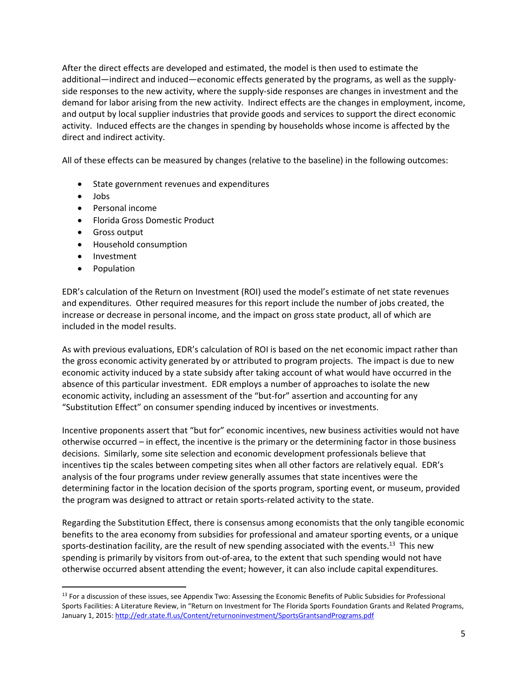After the direct effects are developed and estimated, the model is then used to estimate the additional—indirect and induced—economic effects generated by the programs, as well as the supply‐ side responses to the new activity, where the supply‐side responses are changes in investment and the demand for labor arising from the new activity. Indirect effects are the changes in employment, income, and output by local supplier industries that provide goods and services to support the direct economic activity. Induced effects are the changes in spending by households whose income is affected by the direct and indirect activity.

All of these effects can be measured by changes (relative to the baseline) in the following outcomes:

- State government revenues and expenditures
- Jobs
- Personal income
- Florida Gross Domestic Product
- Gross output
- Household consumption

- Investment
- Population

EDR's calculation of the Return on Investment (ROI) used the model's estimate of net state revenues and expenditures. Other required measures for this report include the number of jobs created, the increase or decrease in personal income, and the impact on gross state product, all of which are included in the model results.

As with previous evaluations, EDR's calculation of ROI is based on the net economic impact rather than the gross economic activity generated by or attributed to program projects. The impact is due to new economic activity induced by a state subsidy after taking account of what would have occurred in the absence of this particular investment. EDR employs a number of approaches to isolate the new economic activity, including an assessment of the "but‐for" assertion and accounting for any "Substitution Effect" on consumer spending induced by incentives or investments.

Incentive proponents assert that "but for" economic incentives, new business activities would not have otherwise occurred – in effect, the incentive is the primary or the determining factor in those business decisions. Similarly, some site selection and economic development professionals believe that incentives tip the scales between competing sites when all other factors are relatively equal. EDR's analysis of the four programs under review generally assumes that state incentives were the determining factor in the location decision of the sports program, sporting event, or museum, provided the program was designed to attract or retain sports‐related activity to the state.

Regarding the Substitution Effect, there is consensus among economists that the only tangible economic benefits to the area economy from subsidies for professional and amateur sporting events, or a unique sports-destination facility, are the result of new spending associated with the events.<sup>13</sup> This new spending is primarily by visitors from out-of-area, to the extent that such spending would not have otherwise occurred absent attending the event; however, it can also include capital expenditures.

<sup>&</sup>lt;sup>13</sup> For a discussion of these issues, see Appendix Two: Assessing the Economic Benefits of Public Subsidies for Professional Sports Facilities: A Literature Review, in "Return on Investment for The Florida Sports Foundation Grants and Related Programs, January 1, 2015: http://edr.state.fl.us/Content/returnoninvestment/SportsGrantsandPrograms.pdf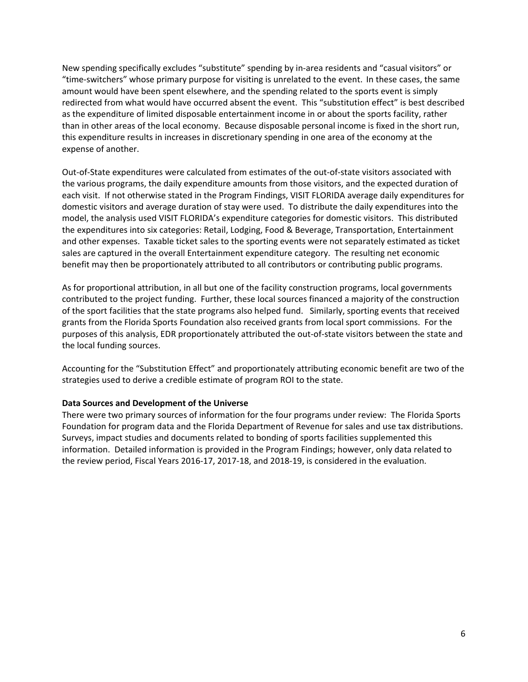New spending specifically excludes "substitute" spending by in‐area residents and "casual visitors" or "time‐switchers" whose primary purpose for visiting is unrelated to the event. In these cases, the same amount would have been spent elsewhere, and the spending related to the sports event is simply redirected from what would have occurred absent the event. This "substitution effect" is best described as the expenditure of limited disposable entertainment income in or about the sports facility, rather than in other areas of the local economy. Because disposable personal income is fixed in the short run, this expenditure results in increases in discretionary spending in one area of the economy at the expense of another.

Out‐of‐State expenditures were calculated from estimates of the out‐of‐state visitors associated with the various programs, the daily expenditure amounts from those visitors, and the expected duration of each visit. If not otherwise stated in the Program Findings, VISIT FLORIDA average daily expenditures for domestic visitors and average duration of stay were used. To distribute the daily expenditures into the model, the analysis used VISIT FLORIDA's expenditure categories for domestic visitors. This distributed the expenditures into six categories: Retail, Lodging, Food & Beverage, Transportation, Entertainment and other expenses. Taxable ticket sales to the sporting events were not separately estimated as ticket sales are captured in the overall Entertainment expenditure category. The resulting net economic benefit may then be proportionately attributed to all contributors or contributing public programs.

As for proportional attribution, in all but one of the facility construction programs, local governments contributed to the project funding. Further, these local sources financed a majority of the construction of the sport facilities that the state programs also helped fund. Similarly, sporting events that received grants from the Florida Sports Foundation also received grants from local sport commissions. For the purposes of this analysis, EDR proportionately attributed the out‐of‐state visitors between the state and the local funding sources.

Accounting for the "Substitution Effect" and proportionately attributing economic benefit are two of the strategies used to derive a credible estimate of program ROI to the state.

#### **Data Sources and Development of the Universe**

There were two primary sources of information for the four programs under review: The Florida Sports Foundation for program data and the Florida Department of Revenue for sales and use tax distributions. Surveys, impact studies and documents related to bonding of sports facilities supplemented this information. Detailed information is provided in the Program Findings; however, only data related to the review period, Fiscal Years 2016‐17, 2017‐18, and 2018‐19, is considered in the evaluation.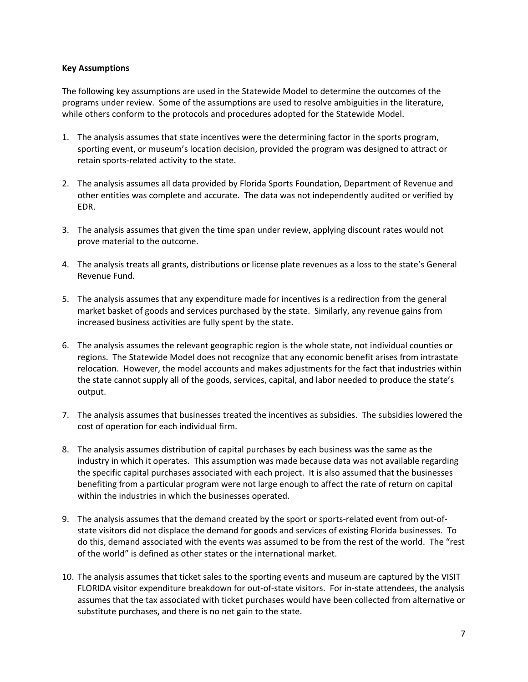#### **Key Assumptions**

The following key assumptions are used in the Statewide Model to determine the outcomes of the programs under review. Some of the assumptions are used to resolve ambiguities in the literature, while others conform to the protocols and procedures adopted for the Statewide Model.

- 1. The analysis assumes that state incentives were the determining factor in the sports program, sporting event, or museum's location decision, provided the program was designed to attract or retain sports‐related activity to the state.
- 2. The analysis assumes all data provided by Florida Sports Foundation, Department of Revenue and other entities was complete and accurate. The data was not independently audited or verified by EDR.
- 3. The analysis assumes that given the time span under review, applying discount rates would not prove material to the outcome.
- 4. The analysis treats all grants, distributions or license plate revenues as a loss to the state's General Revenue Fund.
- 5. The analysis assumes that any expenditure made for incentives is a redirection from the general market basket of goods and services purchased by the state. Similarly, any revenue gains from increased business activities are fully spent by the state.
- 6. The analysis assumes the relevant geographic region is the whole state, not individual counties or regions. The Statewide Model does not recognize that any economic benefit arises from intrastate relocation. However, the model accounts and makes adjustments for the fact that industries within the state cannot supply all of the goods, services, capital, and labor needed to produce the state's output.
- 7. The analysis assumes that businesses treated the incentives as subsidies. The subsidies lowered the cost of operation for each individual firm.
- 8. The analysis assumes distribution of capital purchases by each business was the same as the industry in which it operates. This assumption was made because data was not available regarding the specific capital purchases associated with each project. It is also assumed that the businesses benefiting from a particular program were not large enough to affect the rate of return on capital within the industries in which the businesses operated.
- 9. The analysis assumes that the demand created by the sport or sports-related event from out-ofstate visitors did not displace the demand for goods and services of existing Florida businesses. To do this, demand associated with the events was assumed to be from the rest of the world. The "rest of the world" is defined as other states or the international market.
- 10. The analysis assumes that ticket sales to the sporting events and museum are captured by the VISIT FLORIDA visitor expenditure breakdown for out‐of‐state visitors. For in‐state attendees, the analysis assumes that the tax associated with ticket purchases would have been collected from alternative or substitute purchases, and there is no net gain to the state.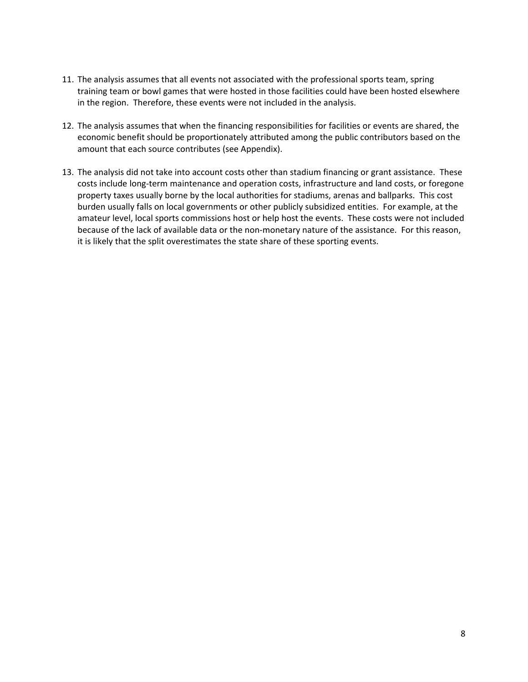- 11. The analysis assumes that all events not associated with the professional sports team, spring training team or bowl games that were hosted in those facilities could have been hosted elsewhere in the region. Therefore, these events were not included in the analysis.
- 12. The analysis assumes that when the financing responsibilities for facilities or events are shared, the economic benefit should be proportionately attributed among the public contributors based on the amount that each source contributes (see Appendix).
- 13. The analysis did not take into account costs other than stadium financing or grant assistance. These costs include long‐term maintenance and operation costs, infrastructure and land costs, or foregone property taxes usually borne by the local authorities for stadiums, arenas and ballparks. This cost burden usually falls on local governments or other publicly subsidized entities. For example, at the amateur level, local sports commissions host or help host the events. These costs were not included because of the lack of available data or the non‐monetary nature of the assistance. For this reason, it is likely that the split overestimates the state share of these sporting events.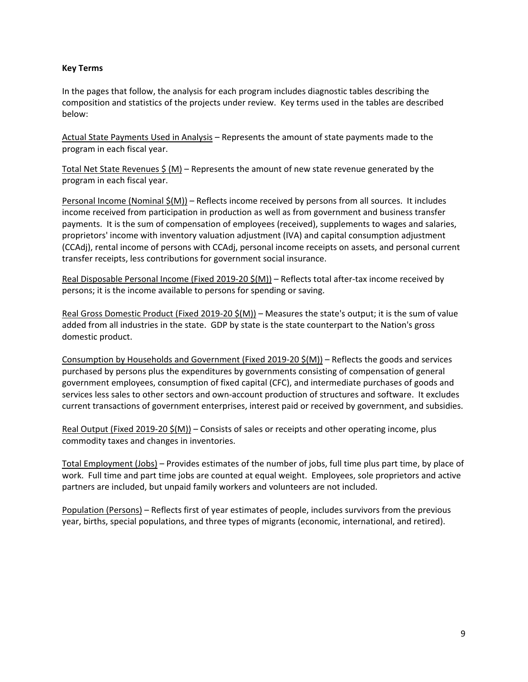#### **Key Terms**

In the pages that follow, the analysis for each program includes diagnostic tables describing the composition and statistics of the projects under review. Key terms used in the tables are described below:

Actual State Payments Used in Analysis – Represents the amount of state payments made to the program in each fiscal year.

Total Net State Revenues  $\frac{2}{5}$  (M) – Represents the amount of new state revenue generated by the program in each fiscal year.

Personal Income (Nominal  $\zeta(M)$ ) – Reflects income received by persons from all sources. It includes income received from participation in production as well as from government and business transfer payments. It is the sum of compensation of employees (received), supplements to wages and salaries, proprietors' income with inventory valuation adjustment (IVA) and capital consumption adjustment (CCAdj), rental income of persons with CCAdj, personal income receipts on assets, and personal current transfer receipts, less contributions for government social insurance.

Real Disposable Personal Income (Fixed 2019-20 \$(M)) – Reflects total after-tax income received by persons; it is the income available to persons for spending or saving.

Real Gross Domestic Product (Fixed 2019-20  $\zeta(M)$ ) – Measures the state's output; it is the sum of value added from all industries in the state. GDP by state is the state counterpart to the Nation's gross domestic product.

Consumption by Households and Government (Fixed 2019‐20 \$(M)) – Reflects the goods and services purchased by persons plus the expenditures by governments consisting of compensation of general government employees, consumption of fixed capital (CFC), and intermediate purchases of goods and services less sales to other sectors and own-account production of structures and software. It excludes current transactions of government enterprises, interest paid or received by government, and subsidies.

Real Output (Fixed 2019‐20 \$(M)) – Consists of sales or receipts and other operating income, plus commodity taxes and changes in inventories.

Total Employment (Jobs) – Provides estimates of the number of jobs, full time plus part time, by place of work. Full time and part time jobs are counted at equal weight. Employees, sole proprietors and active partners are included, but unpaid family workers and volunteers are not included.

Population (Persons) – Reflects first of year estimates of people, includes survivors from the previous year, births, special populations, and three types of migrants (economic, international, and retired).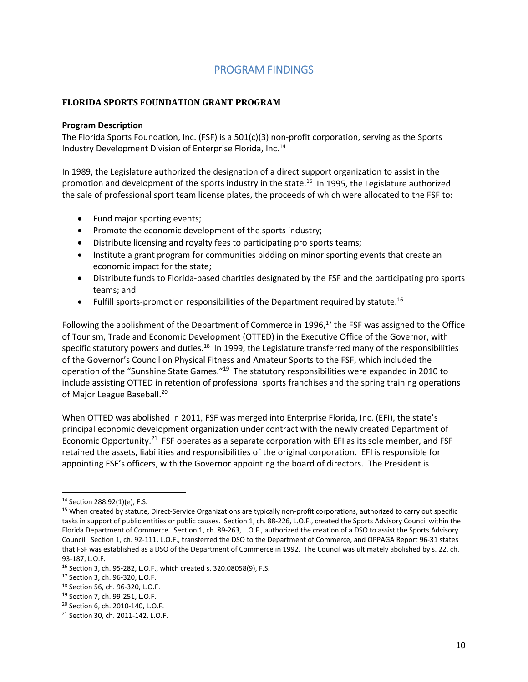## PROGRAM FINDINGS

#### **FLORIDA SPORTS FOUNDATION GRANT PROGRAM**

#### **Program Description**

The Florida Sports Foundation, Inc. (FSF) is a 501(c)(3) non‐profit corporation, serving as the Sports Industry Development Division of Enterprise Florida, Inc.14

In 1989, the Legislature authorized the designation of a direct support organization to assist in the promotion and development of the sports industry in the state.<sup>15</sup> In 1995, the Legislature authorized the sale of professional sport team license plates, the proceeds of which were allocated to the FSF to:

- Fund major sporting events;
- Promote the economic development of the sports industry;
- Distribute licensing and royalty fees to participating pro sports teams;
- Institute a grant program for communities bidding on minor sporting events that create an economic impact for the state;
- Distribute funds to Florida-based charities designated by the FSF and the participating pro sports teams; and
- Fulfill sports-promotion responsibilities of the Department required by statute.<sup>16</sup>

Following the abolishment of the Department of Commerce in 1996, $^{17}$  the FSF was assigned to the Office of Tourism, Trade and Economic Development (OTTED) in the Executive Office of the Governor, with specific statutory powers and duties.<sup>18</sup> In 1999, the Legislature transferred many of the responsibilities of the Governor's Council on Physical Fitness and Amateur Sports to the FSF, which included the operation of the "Sunshine State Games."19 The statutory responsibilities were expanded in 2010 to include assisting OTTED in retention of professional sports franchises and the spring training operations of Major League Baseball.<sup>20</sup>

When OTTED was abolished in 2011, FSF was merged into Enterprise Florida, Inc. (EFI), the state's principal economic development organization under contract with the newly created Department of Economic Opportunity.<sup>21</sup> FSF operates as a separate corporation with EFI as its sole member, and FSF retained the assets, liabilities and responsibilities of the original corporation. EFI is responsible for appointing FSF's officers, with the Governor appointing the board of directors. The President is

<sup>14</sup> Section 288.92(1)(e), F.S.

<sup>15</sup> When created by statute, Direct-Service Organizations are typically non-profit corporations, authorized to carry out specific tasks in support of public entities or public causes. Section 1, ch. 88‐226, L.O.F., created the Sports Advisory Council within the Florida Department of Commerce. Section 1, ch. 89‐263, L.O.F., authorized the creation of a DSO to assist the Sports Advisory Council. Section 1, ch. 92‐111, L.O.F., transferred the DSO to the Department of Commerce, and OPPAGA Report 96‐31 states that FSF was established as a DSO of the Department of Commerce in 1992. The Council was ultimately abolished by s. 22, ch. 93‐187, L.O.F.

<sup>16</sup> Section 3, ch. 95‐282, L.O.F., which created s. 320.08058(9), F.S.

<sup>17</sup> Section 3, ch. 96‐320, L.O.F.

<sup>18</sup> Section 56, ch. 96‐320, L.O.F.

<sup>19</sup> Section 7, ch. 99‐251, L.O.F.

<sup>20</sup> Section 6, ch. 2010‐140, L.O.F.

<sup>21</sup> Section 30, ch. 2011‐142, L.O.F.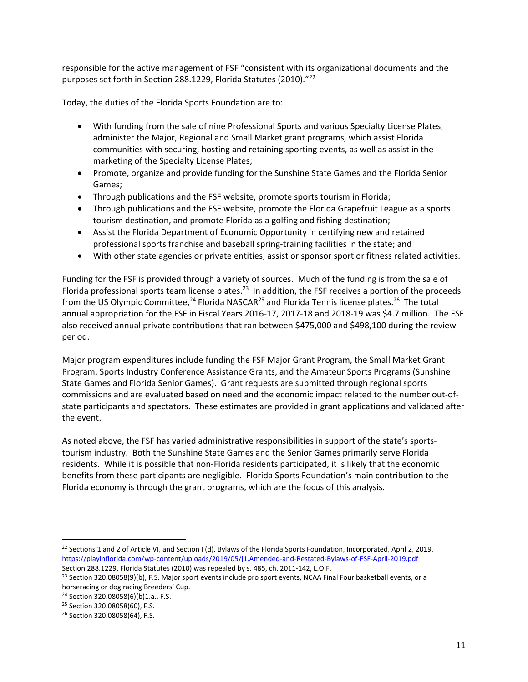responsible for the active management of FSF "consistent with its organizational documents and the purposes set forth in Section 288.1229, Florida Statutes (2010)."22

Today, the duties of the Florida Sports Foundation are to:

- With funding from the sale of nine Professional Sports and various Specialty License Plates, administer the Major, Regional and Small Market grant programs, which assist Florida communities with securing, hosting and retaining sporting events, as well as assist in the marketing of the Specialty License Plates;
- Promote, organize and provide funding for the Sunshine State Games and the Florida Senior Games;
- Through publications and the FSF website, promote sports tourism in Florida;
- Through publications and the FSF website, promote the Florida Grapefruit League as a sports tourism destination, and promote Florida as a golfing and fishing destination;
- Assist the Florida Department of Economic Opportunity in certifying new and retained professional sports franchise and baseball spring‐training facilities in the state; and
- With other state agencies or private entities, assist or sponsor sport or fitness related activities.

Funding for the FSF is provided through a variety of sources. Much of the funding is from the sale of Florida professional sports team license plates.<sup>23</sup> In addition, the FSF receives a portion of the proceeds from the US Olympic Committee,<sup>24</sup> Florida NASCAR<sup>25</sup> and Florida Tennis license plates.<sup>26</sup> The total annual appropriation for the FSF in Fiscal Years 2016‐17, 2017‐18 and 2018‐19 was \$4.7 million. The FSF also received annual private contributions that ran between \$475,000 and \$498,100 during the review period.

Major program expenditures include funding the FSF Major Grant Program, the Small Market Grant Program, Sports Industry Conference Assistance Grants, and the Amateur Sports Programs (Sunshine State Games and Florida Senior Games). Grant requests are submitted through regional sports commissions and are evaluated based on need and the economic impact related to the number out‐of‐ state participants and spectators. These estimates are provided in grant applications and validated after the event.

As noted above, the FSF has varied administrative responsibilities in support of the state's sports‐ tourism industry. Both the Sunshine State Games and the Senior Games primarily serve Florida residents. While it is possible that non‐Florida residents participated, it is likely that the economic benefits from these participants are negligible. Florida Sports Foundation's main contribution to the Florida economy is through the grant programs, which are the focus of this analysis.

<sup>&</sup>lt;sup>22</sup> Sections 1 and 2 of Article VI, and Section I (d), Bylaws of the Florida Sports Foundation, Incorporated, April 2, 2019. https://playinflorida.com/wp‐content/uploads/2019/05/j1.Amended‐and‐Restated‐Bylaws‐of‐FSF‐April‐2019.pdf

Section 288.1229, Florida Statutes (2010) was repealed by s. 485, ch. 2011‐142, L.O.F.

<sup>&</sup>lt;sup>23</sup> Section 320.08058(9)(b), F.S. Major sport events include pro sport events, NCAA Final Four basketball events, or a horseracing or dog racing Breeders' Cup.

<sup>24</sup> Section 320.08058(6)(b)1.a., F.S.

<sup>25</sup> Section 320.08058(60), F.S.

<sup>26</sup> Section 320.08058(64), F.S.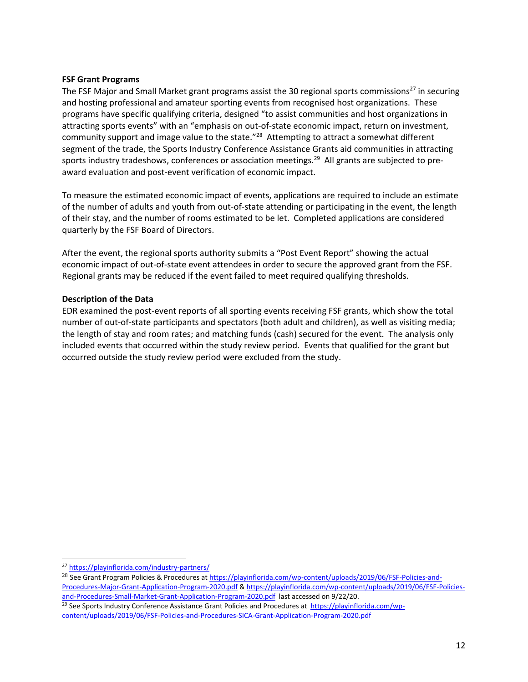#### **FSF Grant Programs**

The FSF Major and Small Market grant programs assist the 30 regional sports commissions<sup>27</sup> in securing and hosting professional and amateur sporting events from recognised host organizations. These programs have specific qualifying criteria, designed "to assist communities and host organizations in attracting sports events" with an "emphasis on out‐of‐state economic impact, return on investment, community support and image value to the state."<sup>28</sup> Attempting to attract a somewhat different segment of the trade, the Sports Industry Conference Assistance Grants aid communities in attracting sports industry tradeshows, conferences or association meetings.<sup>29</sup> All grants are subjected to preaward evaluation and post‐event verification of economic impact.

To measure the estimated economic impact of events, applications are required to include an estimate of the number of adults and youth from out‐of‐state attending or participating in the event, the length of their stay, and the number of rooms estimated to be let. Completed applications are considered quarterly by the FSF Board of Directors.

After the event, the regional sports authority submits a "Post Event Report" showing the actual economic impact of out-of-state event attendees in order to secure the approved grant from the FSF. Regional grants may be reduced if the event failed to meet required qualifying thresholds.

#### **Description of the Data**

EDR examined the post‐event reports of all sporting events receiving FSF grants, which show the total number of out‐of‐state participants and spectators (both adult and children), as well as visiting media; the length of stay and room rates; and matching funds (cash) secured for the event. The analysis only included events that occurred within the study review period. Events that qualified for the grant but occurred outside the study review period were excluded from the study.

<sup>27</sup> https://playinflorida.com/industry‐partners/

<sup>&</sup>lt;sup>28</sup> See Grant Program Policies & Procedures at https://playinflorida.com/wp-content/uploads/2019/06/FSF-Policies-and-Procedures‐Major‐Grant‐Application‐Program‐2020.pdf & https://playinflorida.com/wp‐content/uploads/2019/06/FSF‐Policies‐ and-Procedures-Small-Market-Grant-Application-Program-2020.pdf last accessed on 9/22/20. <sup>29</sup> See Sports Industry Conference Assistance Grant Policies and Procedures at https://playinflorida.com/wp-

content/uploads/2019/06/FSF‐Policies‐and‐Procedures‐SICA‐Grant‐Application‐Program‐2020.pdf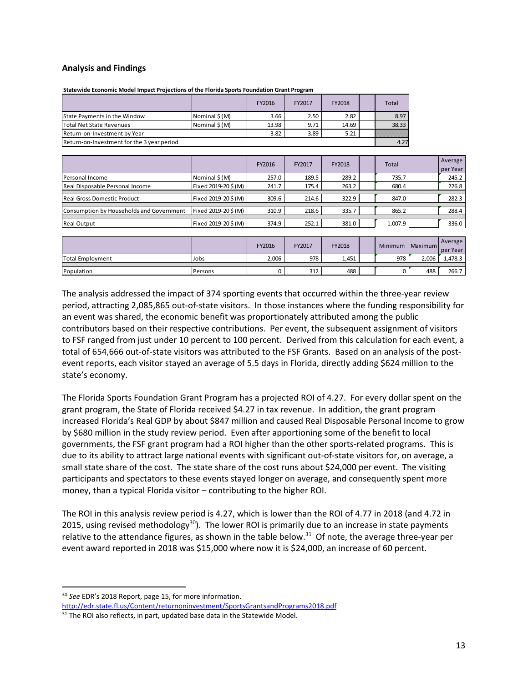#### **Analysis and Findings**

|                                            |               | FY2016 | FY2017 | FY2018 | <b>Total</b> |
|--------------------------------------------|---------------|--------|--------|--------|--------------|
| <b>State Payments in the Window</b>        | Nominal \$(M) | 3.66   | 2.50   | 2.82   | 8.97         |
| lTotal Net State Revenues                  | Nominal \$(M) | 13.98  | 9.71   | 14.69  | 38.33        |
| Return-on-Investment by Year               |               | 3.82   | 3.89   | 5.21   |              |
| Return-on-Investment for the 3 year period |               |        |        |        | 4.27         |

**Statewide Economic Model Impact Projections of the Florida Sports Foundation Grant Program**

|                                          |                     | FY2016 | FY2017 | FY2018 | <b>Total</b> | Average<br>per Year |
|------------------------------------------|---------------------|--------|--------|--------|--------------|---------------------|
| Personal Income                          | Nominal \$(M)       | 257.0  | 189.5  | 289.2  | 735.7        | 245.2               |
| Real Disposable Personal Income          | Fixed 2019-20\$(M)  | 241.7  | 175.4  | 263.2  | 680.4        | 226.8               |
|                                          |                     |        |        |        |              |                     |
| <b>Real Gross Domestic Product</b>       | Fixed 2019-20\$ (M) | 309.6  | 214.6  | 322.9  | 847.0        | 282.3               |
|                                          |                     |        |        |        |              |                     |
| Consumption by Households and Government | Fixed 2019-20\$ (M) | 310.9  | 218.6  | 335.7  | 865.2        | 288.4               |
|                                          |                     |        |        |        |              |                     |
| <b>Real Output</b>                       | Fixed 2019-20\$(M)  | 374.9  | 252.1  | 381.0  | 1.007.9      | 336.0               |

|                         |                | FY2016 | FY2017 | FY2018 | Minimum | <b>IMaximum</b> | Average<br>per Year |
|-------------------------|----------------|--------|--------|--------|---------|-----------------|---------------------|
| <b>Total Employment</b> | Jobs           | 2,006  | 978    | 1,451  | 978     | 2,006           | 1,478.3             |
| Population              | <b>Persons</b> |        | 312    | 488    |         | 488             | 266.7               |

The analysis addressed the impact of 374 sporting events that occurred within the three‐year review period, attracting 2,085,865 out‐of‐state visitors. In those instances where the funding responsibility for an event was shared, the economic benefit was proportionately attributed among the public contributors based on their respective contributions. Per event, the subsequent assignment of visitors to FSF ranged from just under 10 percent to 100 percent. Derived from this calculation for each event, a total of 654,666 out-of-state visitors was attributed to the FSF Grants. Based on an analysis of the postevent reports, each visitor stayed an average of 5.5 days in Florida, directly adding \$624 million to the state's economy.

The Florida Sports Foundation Grant Program has a projected ROI of 4.27. For every dollar spent on the grant program, the State of Florida received \$4.27 in tax revenue. In addition, the grant program increased Florida's Real GDP by about \$847 million and caused Real Disposable Personal Income to grow by \$680 million in the study review period. Even after apportioning some of the benefit to local governments, the FSF grant program had a ROI higher than the other sports‐related programs. This is due to its ability to attract large national events with significant out‐of‐state visitors for, on average, a small state share of the cost. The state share of the cost runs about \$24,000 per event. The visiting participants and spectators to these events stayed longer on average, and consequently spent more money, than a typical Florida visitor – contributing to the higher ROI.

The ROI in this analysis review period is 4.27, which is lower than the ROI of 4.77 in 2018 (and 4.72 in 2015, using revised methodology $30$ ). The lower ROI is primarily due to an increase in state payments relative to the attendance figures, as shown in the table below.<sup>31</sup> Of note, the average three-year per event award reported in 2018 was \$15,000 where now it is \$24,000, an increase of 60 percent.

<sup>30</sup> *See* EDR's 2018 Report, page 15, for more information. http://edr.state.fl.us/Content/returnoninvestment/SportsGrantsandPrograms2018.pdf

<sup>&</sup>lt;sup>31</sup> The ROI also reflects, in part, updated base data in the Statewide Model.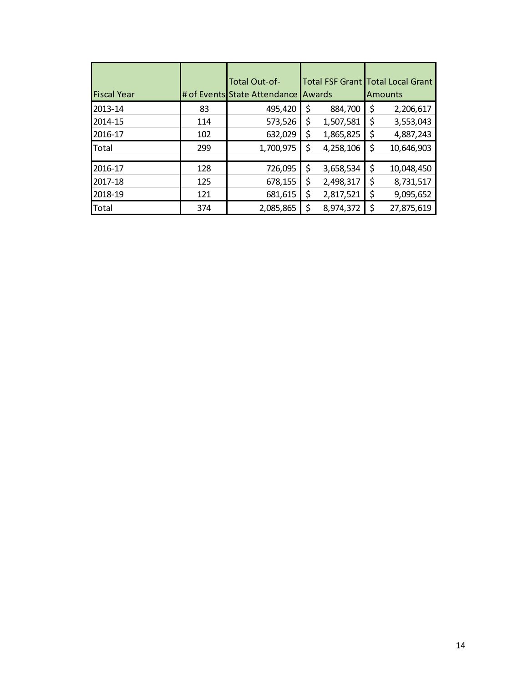| <b>Fiscal Year</b> |     | Total Out-of-<br># of Events State Attendance | Total FSF Grant Total Local Grant<br>Awards |           | <b>Amounts</b>   |
|--------------------|-----|-----------------------------------------------|---------------------------------------------|-----------|------------------|
| 2013-14            | 83  | 495,420                                       | \$                                          | 884,700   | \$<br>2,206,617  |
| 2014-15            | 114 | 573,526                                       | \$                                          | 1,507,581 | \$<br>3,553,043  |
| 2016-17            | 102 | 632,029                                       | \$                                          | 1,865,825 | \$<br>4,887,243  |
| Total              | 299 | 1,700,975                                     | \$                                          | 4,258,106 | \$<br>10,646,903 |
| 2016-17            | 128 | 726,095                                       | \$                                          | 3,658,534 | \$<br>10,048,450 |
| 2017-18            | 125 | 678,155                                       | \$                                          | 2,498,317 | \$<br>8,731,517  |
| 2018-19            | 121 | 681,615                                       | \$                                          | 2,817,521 | \$<br>9,095,652  |
| Total              | 374 | 2,085,865                                     |                                             | 8,974,372 | 27,875,619       |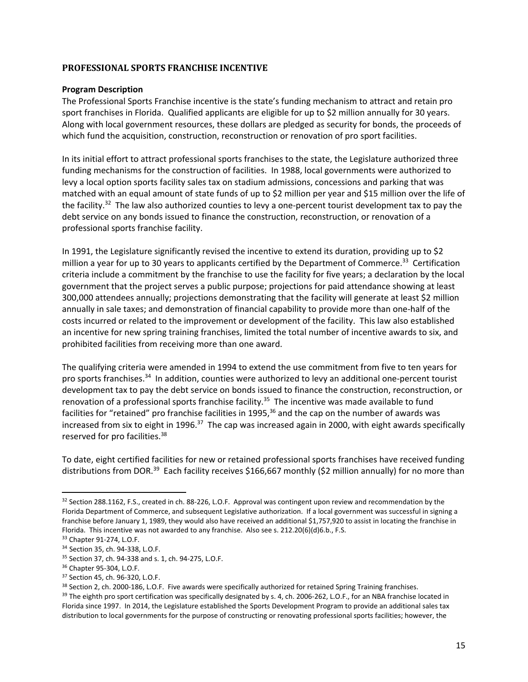#### **PROFESSIONAL SPORTS FRANCHISE INCENTIVE**

#### **Program Description**

The Professional Sports Franchise incentive is the state's funding mechanism to attract and retain pro sport franchises in Florida. Qualified applicants are eligible for up to \$2 million annually for 30 years. Along with local government resources, these dollars are pledged as security for bonds, the proceeds of which fund the acquisition, construction, reconstruction or renovation of pro sport facilities.

In its initial effort to attract professional sports franchises to the state, the Legislature authorized three funding mechanisms for the construction of facilities. In 1988, local governments were authorized to levy a local option sports facility sales tax on stadium admissions, concessions and parking that was matched with an equal amount of state funds of up to \$2 million per year and \$15 million over the life of the facility.<sup>32</sup> The law also authorized counties to levy a one-percent tourist development tax to pay the debt service on any bonds issued to finance the construction, reconstruction, or renovation of a professional sports franchise facility.

In 1991, the Legislature significantly revised the incentive to extend its duration, providing up to \$2 million a year for up to 30 years to applicants certified by the Department of Commerce.<sup>33</sup> Certification criteria include a commitment by the franchise to use the facility for five years; a declaration by the local government that the project serves a public purpose; projections for paid attendance showing at least 300,000 attendees annually; projections demonstrating that the facility will generate at least \$2 million annually in sale taxes; and demonstration of financial capability to provide more than one‐half of the costs incurred or related to the improvement or development of the facility. This law also established an incentive for new spring training franchises, limited the total number of incentive awards to six, and prohibited facilities from receiving more than one award.

The qualifying criteria were amended in 1994 to extend the use commitment from five to ten years for pro sports franchises.<sup>34</sup> In addition, counties were authorized to levy an additional one-percent tourist development tax to pay the debt service on bonds issued to finance the construction, reconstruction, or renovation of a professional sports franchise facility.<sup>35</sup> The incentive was made available to fund facilities for "retained" pro franchise facilities in 1995,<sup>36</sup> and the cap on the number of awards was increased from six to eight in 1996.<sup>37</sup> The cap was increased again in 2000, with eight awards specifically reserved for pro facilities.<sup>38</sup>

To date, eight certified facilities for new or retained professional sports franchises have received funding distributions from DOR.<sup>39</sup> Each facility receives \$166,667 monthly (\$2 million annually) for no more than

<sup>32</sup> Section 288.1162, F.S., created in ch. 88-226, L.O.F. Approval was contingent upon review and recommendation by the Florida Department of Commerce, and subsequent Legislative authorization. If a local government was successful in signing a franchise before January 1, 1989, they would also have received an additional \$1,757,920 to assist in locating the franchise in Florida. This incentive was not awarded to any franchise. Also see s. 212.20(6)(d)6.b., F.S.

<sup>33</sup> Chapter 91‐274, L.O.F.

<sup>34</sup> Section 35, ch. 94‐338, L.O.F.

<sup>35</sup> Section 37, ch. 94‐338 and s. 1, ch. 94‐275, L.O.F.

<sup>36</sup> Chapter 95‐304, L.O.F.

<sup>37</sup> Section 45, ch. 96‐320, L.O.F.

<sup>38</sup> Section 2, ch. 2000-186, L.O.F. Five awards were specifically authorized for retained Spring Training franchises.

<sup>&</sup>lt;sup>39</sup> The eighth pro sport certification was specifically designated by s. 4, ch. 2006-262, L.O.F., for an NBA franchise located in Florida since 1997. In 2014, the Legislature established the Sports Development Program to provide an additional sales tax distribution to local governments for the purpose of constructing or renovating professional sports facilities; however, the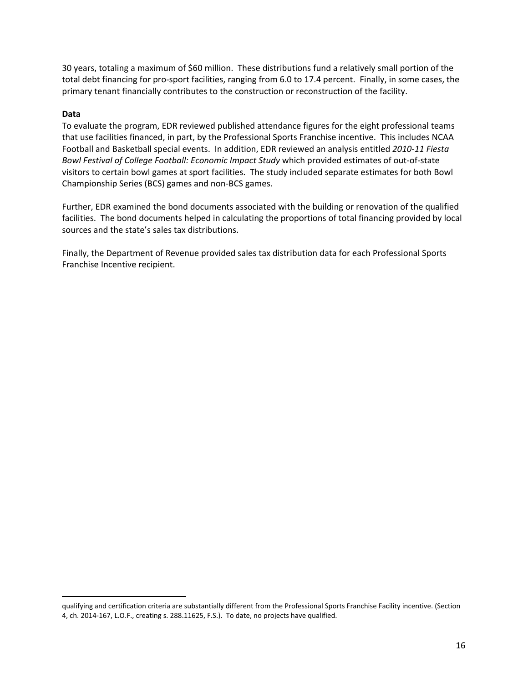30 years, totaling a maximum of \$60 million. These distributions fund a relatively small portion of the total debt financing for pro‐sport facilities, ranging from 6.0 to 17.4 percent. Finally, in some cases, the primary tenant financially contributes to the construction or reconstruction of the facility.

#### **Data**

To evaluate the program, EDR reviewed published attendance figures for the eight professional teams that use facilities financed, in part, by the Professional Sports Franchise incentive. This includes NCAA Football and Basketball special events. In addition, EDR reviewed an analysis entitled *2010‐11 Fiesta Bowl Festival of College Football: Economic Impact Study* which provided estimates of out‐of‐state visitors to certain bowl games at sport facilities. The study included separate estimates for both Bowl Championship Series (BCS) games and non‐BCS games.

Further, EDR examined the bond documents associated with the building or renovation of the qualified facilities. The bond documents helped in calculating the proportions of total financing provided by local sources and the state's sales tax distributions.

Finally, the Department of Revenue provided sales tax distribution data for each Professional Sports Franchise Incentive recipient.

qualifying and certification criteria are substantially different from the Professional Sports Franchise Facility incentive. (Section 4, ch. 2014‐167, L.O.F., creating s. 288.11625, F.S.). To date, no projects have qualified.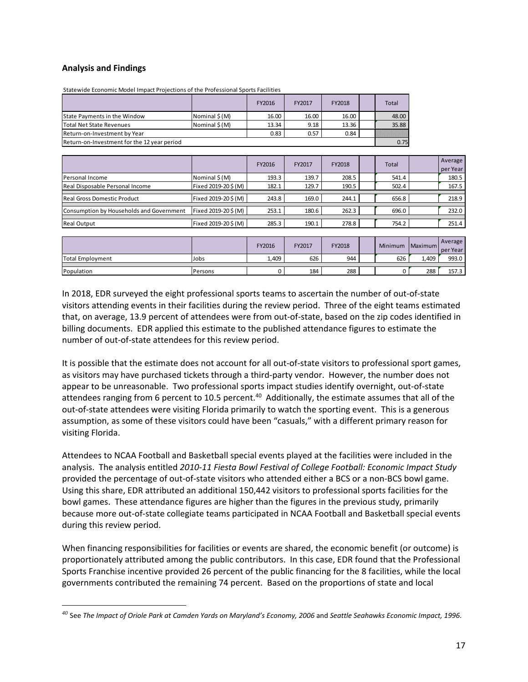#### **Analysis and Findings**

Statewide Economic Model Impact Projections of the Professional Sports Facilities

|                                             |                | FY2016 | FY2017 | FY2018 |  | Total |  |
|---------------------------------------------|----------------|--------|--------|--------|--|-------|--|
| <b>State Payments in the Window</b>         | Nominal \$ (M) | 16.00  | 16.00  | 16.00  |  | 48.00 |  |
| Total Net State Revenues                    | Nominal \$(M)  | 13.34  | 9.18   | 13.36  |  | 35.88 |  |
| Return-on-Investment by Year                |                | 0.83   | 0.57   | 0.84   |  |       |  |
| Return-on-Investment for the 12 year period |                |        |        |        |  |       |  |

|                                          |                     | FY2016 | FY2017 | FY2018 | Total | Average<br>per Year |
|------------------------------------------|---------------------|--------|--------|--------|-------|---------------------|
| Personal Income                          | Nominal \$(M)       | 193.3  | 139.7  | 208.5  | 541.4 | 180.5               |
| Real Disposable Personal Income          | Fixed 2019-20\$(M)  | 182.1  | 129.7  | 190.5  | 502.4 | 167.5               |
|                                          |                     |        |        |        |       |                     |
| <b>Real Gross Domestic Product</b>       | Fixed 2019-20\$(M)  | 243.8  | 169.0  | 244.1  | 656.8 | 218.9               |
|                                          |                     |        |        |        |       |                     |
| Consumption by Households and Government | Fixed 2019-20\$ (M) | 253.1  | 180.6  | 262.3  | 696.0 | 232.0               |
|                                          |                     |        |        |        |       |                     |
| <b>Real Output</b>                       | Fixed 2019-20\$ (M) | 285.3  | 190.1  | 278.8  | 754.2 | 251.4               |

|                         |                | FY2016 | <b>FY2017</b> | FY2018 | <b>Minimum</b> | <b>Maximum</b> | Average<br>per Year |
|-------------------------|----------------|--------|---------------|--------|----------------|----------------|---------------------|
| <b>Total Employment</b> | Jobs           | 1,409  | 626           | 944    | 626            | 1,409          | 993.0               |
| Population              | <b>Persons</b> |        | 184           | 288    |                | 288            | 157.3               |

In 2018, EDR surveyed the eight professional sports teams to ascertain the number of out‐of‐state visitors attending events in their facilities during the review period. Three of the eight teams estimated that, on average, 13.9 percent of attendees were from out‐of‐state, based on the zip codes identified in billing documents. EDR applied this estimate to the published attendance figures to estimate the number of out‐of‐state attendees for this review period.

It is possible that the estimate does not account for all out-of-state visitors to professional sport games, as visitors may have purchased tickets through a third‐party vendor. However, the number does not appear to be unreasonable. Two professional sports impact studies identify overnight, out‐of‐state attendees ranging from 6 percent to 10.5 percent.<sup>40</sup> Additionally, the estimate assumes that all of the out‐of‐state attendees were visiting Florida primarily to watch the sporting event. This is a generous assumption, as some of these visitors could have been "casuals," with a different primary reason for visiting Florida.

Attendees to NCAA Football and Basketball special events played at the facilities were included in the analysis. The analysis entitled *2010‐11 Fiesta Bowl Festival of College Football: Economic Impact Study* provided the percentage of out-of-state visitors who attended either a BCS or a non-BCS bowl game. Using this share, EDR attributed an additional 150,442 visitors to professional sports facilities for the bowl games. These attendance figures are higher than the figures in the previous study, primarily because more out‐of‐state collegiate teams participated in NCAA Football and Basketball special events during this review period.

When financing responsibilities for facilities or events are shared, the economic benefit (or outcome) is proportionately attributed among the public contributors. In this case, EDR found that the Professional Sports Franchise incentive provided 26 percent of the public financing for the 8 facilities, while the local governments contributed the remaining 74 percent. Based on the proportions of state and local

 $^{40}$  See The Impact of Oriole Park at Camden Yards on Maryland's Economy, 2006 and Seattle Seahawks Economic Impact, 1996.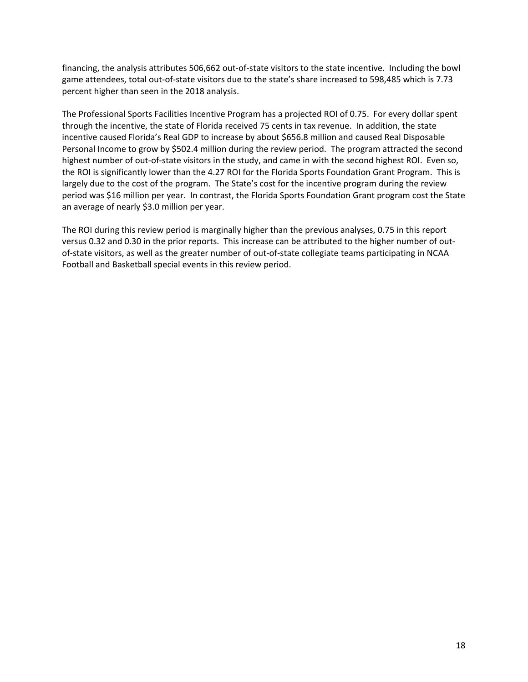financing, the analysis attributes 506,662 out‐of‐state visitors to the state incentive. Including the bowl game attendees, total out‐of‐state visitors due to the state's share increased to 598,485 which is 7.73 percent higher than seen in the 2018 analysis.

The Professional Sports Facilities Incentive Program has a projected ROI of 0.75. For every dollar spent through the incentive, the state of Florida received 75 cents in tax revenue. In addition, the state incentive caused Florida's Real GDP to increase by about \$656.8 million and caused Real Disposable Personal Income to grow by \$502.4 million during the review period. The program attracted the second highest number of out-of-state visitors in the study, and came in with the second highest ROI. Even so, the ROI is significantly lower than the 4.27 ROI for the Florida Sports Foundation Grant Program. This is largely due to the cost of the program. The State's cost for the incentive program during the review period was \$16 million per year. In contrast, the Florida Sports Foundation Grant program cost the State an average of nearly \$3.0 million per year.

The ROI during this review period is marginally higher than the previous analyses, 0.75 in this report versus 0.32 and 0.30 in the prior reports. This increase can be attributed to the higher number of out‐ of-state visitors, as well as the greater number of out-of-state collegiate teams participating in NCAA Football and Basketball special events in this review period.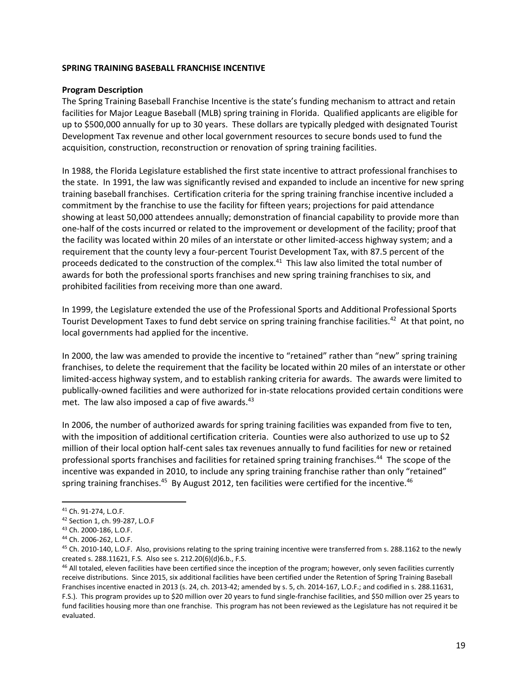#### **SPRING TRAINING BASEBALL FRANCHISE INCENTIVE**

#### **Program Description**

The Spring Training Baseball Franchise Incentive is the state's funding mechanism to attract and retain facilities for Major League Baseball (MLB) spring training in Florida. Qualified applicants are eligible for up to \$500,000 annually for up to 30 years. These dollars are typically pledged with designated Tourist Development Tax revenue and other local government resources to secure bonds used to fund the acquisition, construction, reconstruction or renovation of spring training facilities.

In 1988, the Florida Legislature established the first state incentive to attract professional franchises to the state. In 1991, the law was significantly revised and expanded to include an incentive for new spring training baseball franchises. Certification criteria for the spring training franchise incentive included a commitment by the franchise to use the facility for fifteen years; projections for paid attendance showing at least 50,000 attendees annually; demonstration of financial capability to provide more than one‐half of the costs incurred or related to the improvement or development of the facility; proof that the facility was located within 20 miles of an interstate or other limited‐access highway system; and a requirement that the county levy a four-percent Tourist Development Tax, with 87.5 percent of the proceeds dedicated to the construction of the complex.<sup>41</sup> This law also limited the total number of awards for both the professional sports franchises and new spring training franchises to six, and prohibited facilities from receiving more than one award.

In 1999, the Legislature extended the use of the Professional Sports and Additional Professional Sports Tourist Development Taxes to fund debt service on spring training franchise facilities.<sup>42</sup> At that point, no local governments had applied for the incentive.

In 2000, the law was amended to provide the incentive to "retained" rather than "new" spring training franchises, to delete the requirement that the facility be located within 20 miles of an interstate or other limited-access highway system, and to establish ranking criteria for awards. The awards were limited to publically‐owned facilities and were authorized for in‐state relocations provided certain conditions were met. The law also imposed a cap of five awards.<sup>43</sup>

In 2006, the number of authorized awards for spring training facilities was expanded from five to ten, with the imposition of additional certification criteria. Counties were also authorized to use up to \$2 million of their local option half‐cent sales tax revenues annually to fund facilities for new or retained professional sports franchises and facilities for retained spring training franchises.44 The scope of the incentive was expanded in 2010, to include any spring training franchise rather than only "retained" spring training franchises.<sup>45</sup> By August 2012, ten facilities were certified for the incentive.<sup>46</sup>

<sup>41</sup> Ch. 91‐274, L.O.F.

<sup>42</sup> Section 1, ch. 99‐287, L.O.F

<sup>43</sup> Ch. 2000‐186, L.O.F.

<sup>44</sup> Ch. 2006‐262, L.O.F.

<sup>45</sup> Ch. 2010-140, L.O.F. Also, provisions relating to the spring training incentive were transferred from s. 288.1162 to the newly created s. 288.11621, F.S. Also see s. 212.20(6)(d)6.b., F.S.

<sup>&</sup>lt;sup>46</sup> All totaled, eleven facilities have been certified since the inception of the program; however, only seven facilities currently receive distributions. Since 2015, six additional facilities have been certified under the Retention of Spring Training Baseball Franchises incentive enacted in 2013 (s. 24, ch. 2013‐42; amended by s. 5, ch. 2014‐167, L.O.F.; and codified in s. 288.11631, F.S.). This program provides up to \$20 million over 20 years to fund single‐franchise facilities, and \$50 million over 25 years to fund facilities housing more than one franchise. This program has not been reviewed as the Legislature has not required it be evaluated.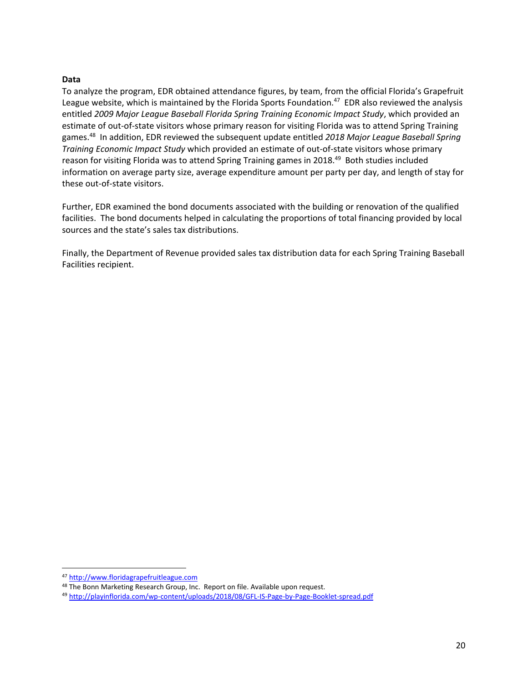#### **Data**

To analyze the program, EDR obtained attendance figures, by team, from the official Florida's Grapefruit League website, which is maintained by the Florida Sports Foundation.<sup>47</sup> EDR also reviewed the analysis entitled *2009 Major League Baseball Florida Spring Training Economic Impact Study*, which provided an estimate of out-of-state visitors whose primary reason for visiting Florida was to attend Spring Training games.48 In addition, EDR reviewed the subsequent update entitled *2018 Major League Baseball Spring Training Economic Impact Study* which provided an estimate of out‐of‐state visitors whose primary reason for visiting Florida was to attend Spring Training games in 2018.<sup>49</sup> Both studies included information on average party size, average expenditure amount per party per day, and length of stay for these out‐of‐state visitors.

Further, EDR examined the bond documents associated with the building or renovation of the qualified facilities. The bond documents helped in calculating the proportions of total financing provided by local sources and the state's sales tax distributions.

Finally, the Department of Revenue provided sales tax distribution data for each Spring Training Baseball Facilities recipient.

 <sup>47</sup> http://www.floridagrapefruitleague.com

<sup>&</sup>lt;sup>48</sup> The Bonn Marketing Research Group, Inc. Report on file. Available upon request.

<sup>49</sup> http://playinflorida.com/wp‐content/uploads/2018/08/GFL‐IS‐Page‐by‐Page‐Booklet‐spread.pdf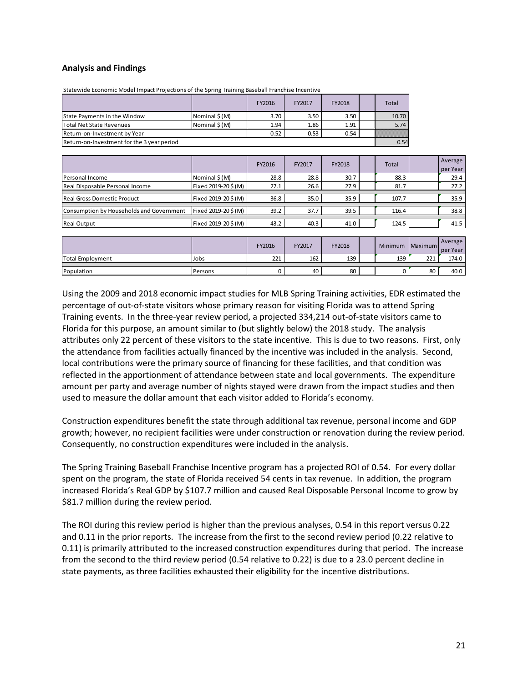#### **Analysis and Findings**

|                                            |                | FY2016 | FY2017 | FY2018 | <b>Total</b> |
|--------------------------------------------|----------------|--------|--------|--------|--------------|
| <b>State Payments in the Window</b>        | Nominal \$ (M) | 3.70   | 3.50   | 3.50   | 10.70        |
| lTotal Net State Revenues                  | Nominal \$(M)  | 1.94   | 1.86   | 1.91   | 5.74         |
| Return-on-Investment by Year               |                | 0.52   | 0.53   | 0.54   |              |
| Return-on-Investment for the 3 year period |                |        |        |        | 0.54         |

Statewide Economic Model Impact Projections of the Spring Training Baseball Franchise Incentive

|                                          |                     | FY2016 | FY2017 | FY2018 | <b>Total</b> | Average<br>per Year |
|------------------------------------------|---------------------|--------|--------|--------|--------------|---------------------|
| Personal Income                          | Nominal \$(M)       | 28.8   | 28.8   | 30.7   | 88.3         | 29.4                |
| Real Disposable Personal Income          | Fixed 2019-20\$(M)  | 27.1   | 26.6   | 27.9   | 81.7         | 27.2                |
|                                          |                     |        |        |        |              |                     |
| <b>Real Gross Domestic Product</b>       | Fixed 2019-20\$(M)  | 36.8   | 35.0   | 35.9   | 107.7        | 35.9                |
|                                          |                     |        |        |        |              |                     |
| Consumption by Households and Government | Fixed 2019-20\$(M)  | 39.2   | 37.7   | 39.5   | 116.4        | 38.8                |
|                                          |                     |        |        |        |              |                     |
| <b>Real Output</b>                       | Fixed 2019-20\$ (M) | 43.2   | 40.3   | 41.0   | 124.5        | 41.5                |

|                         |                | FY2016 | FY2017 | FY2018 | Minimum | Maximum | Average<br>per Year |
|-------------------------|----------------|--------|--------|--------|---------|---------|---------------------|
| <b>Total Employment</b> | Jobs           | 221    | 162    | 139    | 139     | 221     | 174.0               |
| Population              | <b>Persons</b> |        | 40     | 80     |         | 80      | 40.0                |

Using the 2009 and 2018 economic impact studies for MLB Spring Training activities, EDR estimated the percentage of out‐of‐state visitors whose primary reason for visiting Florida was to attend Spring Training events. In the three‐year review period, a projected 334,214 out‐of‐state visitors came to Florida for this purpose, an amount similar to (but slightly below) the 2018 study. The analysis attributes only 22 percent of these visitors to the state incentive. This is due to two reasons. First, only the attendance from facilities actually financed by the incentive was included in the analysis. Second, local contributions were the primary source of financing for these facilities, and that condition was reflected in the apportionment of attendance between state and local governments. The expenditure amount per party and average number of nights stayed were drawn from the impact studies and then used to measure the dollar amount that each visitor added to Florida's economy.

Construction expenditures benefit the state through additional tax revenue, personal income and GDP growth; however, no recipient facilities were under construction or renovation during the review period. Consequently, no construction expenditures were included in the analysis.

The Spring Training Baseball Franchise Incentive program has a projected ROI of 0.54. For every dollar spent on the program, the state of Florida received 54 cents in tax revenue. In addition, the program increased Florida's Real GDP by \$107.7 million and caused Real Disposable Personal Income to grow by \$81.7 million during the review period.

The ROI during this review period is higher than the previous analyses, 0.54 in this report versus 0.22 and 0.11 in the prior reports. The increase from the first to the second review period (0.22 relative to 0.11) is primarily attributed to the increased construction expenditures during that period. The increase from the second to the third review period (0.54 relative to 0.22) is due to a 23.0 percent decline in state payments, as three facilities exhausted their eligibility for the incentive distributions.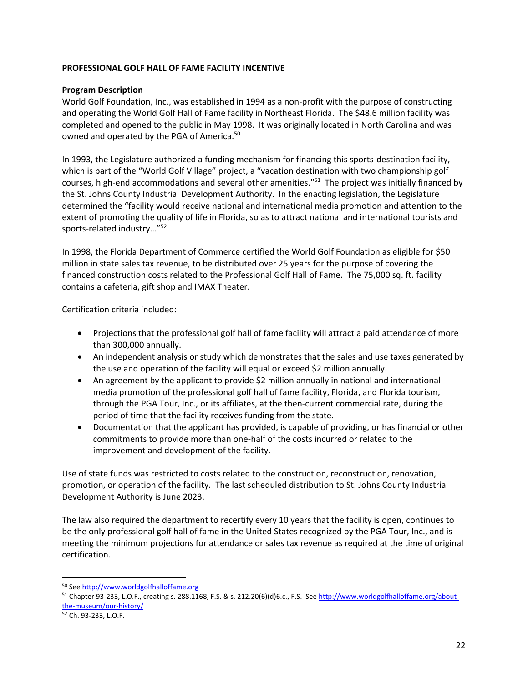#### **PROFESSIONAL GOLF HALL OF FAME FACILITY INCENTIVE**

#### **Program Description**

World Golf Foundation, Inc., was established in 1994 as a non‐profit with the purpose of constructing and operating the World Golf Hall of Fame facility in Northeast Florida. The \$48.6 million facility was completed and opened to the public in May 1998. It was originally located in North Carolina and was owned and operated by the PGA of America.<sup>50</sup>

In 1993, the Legislature authorized a funding mechanism for financing this sports‐destination facility, which is part of the "World Golf Village" project, a "vacation destination with two championship golf courses, high-end accommodations and several other amenities."<sup>51</sup> The project was initially financed by the St. Johns County Industrial Development Authority. In the enacting legislation, the Legislature determined the "facility would receive national and international media promotion and attention to the extent of promoting the quality of life in Florida, so as to attract national and international tourists and sports-related industry..."<sup>52</sup>

In 1998, the Florida Department of Commerce certified the World Golf Foundation as eligible for \$50 million in state sales tax revenue, to be distributed over 25 years for the purpose of covering the financed construction costs related to the Professional Golf Hall of Fame. The 75,000 sq. ft. facility contains a cafeteria, gift shop and IMAX Theater.

Certification criteria included:

- Projections that the professional golf hall of fame facility will attract a paid attendance of more than 300,000 annually.
- An independent analysis or study which demonstrates that the sales and use taxes generated by the use and operation of the facility will equal or exceed \$2 million annually.
- An agreement by the applicant to provide \$2 million annually in national and international media promotion of the professional golf hall of fame facility, Florida, and Florida tourism, through the PGA Tour, Inc., or its affiliates, at the then-current commercial rate, during the period of time that the facility receives funding from the state.
- Documentation that the applicant has provided, is capable of providing, or has financial or other commitments to provide more than one‐half of the costs incurred or related to the improvement and development of the facility.

Use of state funds was restricted to costs related to the construction, reconstruction, renovation, promotion, or operation of the facility. The last scheduled distribution to St. Johns County Industrial Development Authority is June 2023.

The law also required the department to recertify every 10 years that the facility is open, continues to be the only professional golf hall of fame in the United States recognized by the PGA Tour, Inc., and is meeting the minimum projections for attendance or sales tax revenue as required at the time of original certification.

 <sup>50</sup> See http://www.worldgolfhalloffame.org

<sup>51</sup> Chapter 93-233, L.O.F., creating s. 288.1168, F.S. & s. 212.20(6)(d)6.c., F.S. See http://www.worldgolfhalloffame.org/aboutthe‐museum/our‐history/

<sup>52</sup> Ch. 93‐233, L.O.F.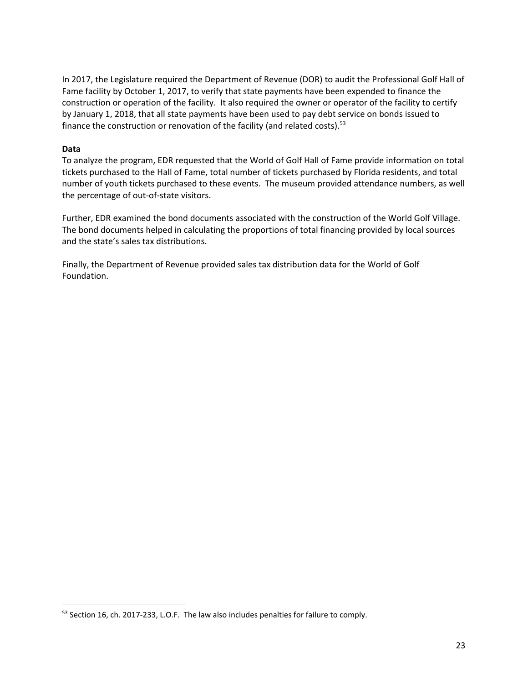In 2017, the Legislature required the Department of Revenue (DOR) to audit the Professional Golf Hall of Fame facility by October 1, 2017, to verify that state payments have been expended to finance the construction or operation of the facility. It also required the owner or operator of the facility to certify by January 1, 2018, that all state payments have been used to pay debt service on bonds issued to finance the construction or renovation of the facility (and related costs).<sup>53</sup>

#### **Data**

To analyze the program, EDR requested that the World of Golf Hall of Fame provide information on total tickets purchased to the Hall of Fame, total number of tickets purchased by Florida residents, and total number of youth tickets purchased to these events. The museum provided attendance numbers, as well the percentage of out‐of‐state visitors.

Further, EDR examined the bond documents associated with the construction of the World Golf Village. The bond documents helped in calculating the proportions of total financing provided by local sources and the state's sales tax distributions.

Finally, the Department of Revenue provided sales tax distribution data for the World of Golf Foundation.

<sup>53</sup> Section 16, ch. 2017-233, L.O.F. The law also includes penalties for failure to comply.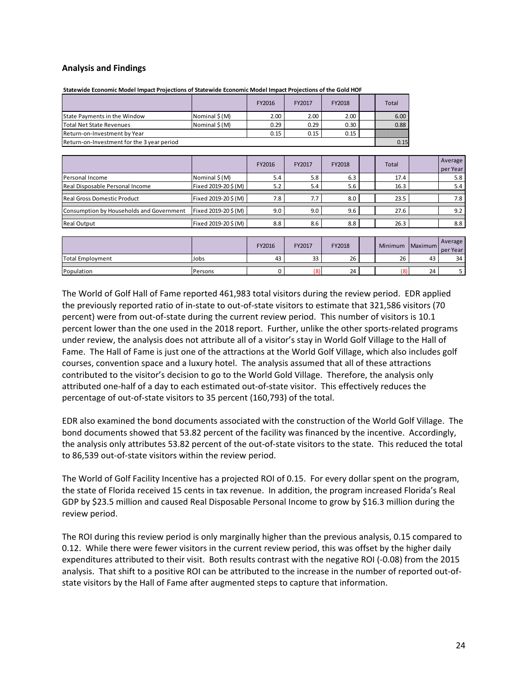#### **Analysis and Findings**

|                                            |               | FY2016 | FY2017 | FY2018 |  | Total |
|--------------------------------------------|---------------|--------|--------|--------|--|-------|
| <b>State Payments in the Window</b>        | Nominal \$(M) | 2.00   | 2.00   | 2.00   |  | 6.00  |
| Total Net State Revenues                   | Nominal S(M)  | 0.29   | 0.29   | 0.30   |  | 0.88  |
| Return-on-Investment by Year               | 0.15          | 0.15   | 0.15   |        |  |       |
| Return-on-Investment for the 3 year period |               |        |        |        |  |       |

**Statewide Economic Model Impact Projections of Statewide Economic Model Impact Projections of the Gold HOF**

|                                          |                     | FY2016 | FY2017 | FY2018 | Total | Average<br>per Year |
|------------------------------------------|---------------------|--------|--------|--------|-------|---------------------|
| Personal Income                          | Nominal \$ (M)      | 5.4    | 5.8    | 6.3    | 17.4  | 5.8                 |
| Real Disposable Personal Income          | Fixed 2019-20\$(M)  | 5.2    | 5.4    | 5.6    | 16.3  | 5.4                 |
|                                          |                     |        |        |        |       |                     |
| Real Gross Domestic Product              | Fixed 2019-20\$ (M) | 7.8    |        | 8.0    | 23.5  | 7.8                 |
| Consumption by Households and Government | Fixed 2019-20\$(M)  | 9.0    | 9.0    | 9.6    | 27.6  | 9.2                 |
|                                          |                     |        |        |        |       |                     |
| <b>Real Output</b>                       | Fixed 2019-20\$(M)  | 8.8    | 8.6    | 8.8    | 26.3  | 8.8                 |

|                  |                | FY2016 | FY2017 | FY2018 | <b>Minimum</b> | <b>Maximum</b> | Average<br>per Year |
|------------------|----------------|--------|--------|--------|----------------|----------------|---------------------|
| Total Employment | Jobs           | 43     | 33     | 26     | 26             | 43             | 34                  |
| Population       | <b>Persons</b> |        | (8)    | 24     | (8)            | 24             |                     |
|                  |                |        |        |        |                |                |                     |

The World of Golf Hall of Fame reported 461,983 total visitors during the review period. EDR applied the previously reported ratio of in‐state to out‐of‐state visitors to estimate that 321,586 visitors (70 percent) were from out-of-state during the current review period. This number of visitors is 10.1 percent lower than the one used in the 2018 report. Further, unlike the other sports-related programs under review, the analysis does not attribute all of a visitor's stay in World Golf Village to the Hall of Fame. The Hall of Fame is just one of the attractions at the World Golf Village, which also includes golf courses, convention space and a luxury hotel. The analysis assumed that all of these attractions contributed to the visitor's decision to go to the World Gold Village. Therefore, the analysis only attributed one‐half of a day to each estimated out‐of‐state visitor. This effectively reduces the percentage of out‐of‐state visitors to 35 percent (160,793) of the total.

EDR also examined the bond documents associated with the construction of the World Golf Village. The bond documents showed that 53.82 percent of the facility was financed by the incentive. Accordingly, the analysis only attributes 53.82 percent of the out‐of‐state visitors to the state. This reduced the total to 86,539 out‐of‐state visitors within the review period.

The World of Golf Facility Incentive has a projected ROI of 0.15. For every dollar spent on the program, the state of Florida received 15 cents in tax revenue. In addition, the program increased Florida's Real GDP by \$23.5 million and caused Real Disposable Personal Income to grow by \$16.3 million during the review period.

The ROI during this review period is only marginally higher than the previous analysis, 0.15 compared to 0.12. While there were fewer visitors in the current review period, this was offset by the higher daily expenditures attributed to their visit. Both results contrast with the negative ROI (‐0.08) from the 2015 analysis. That shift to a positive ROI can be attributed to the increase in the number of reported out-ofstate visitors by the Hall of Fame after augmented steps to capture that information.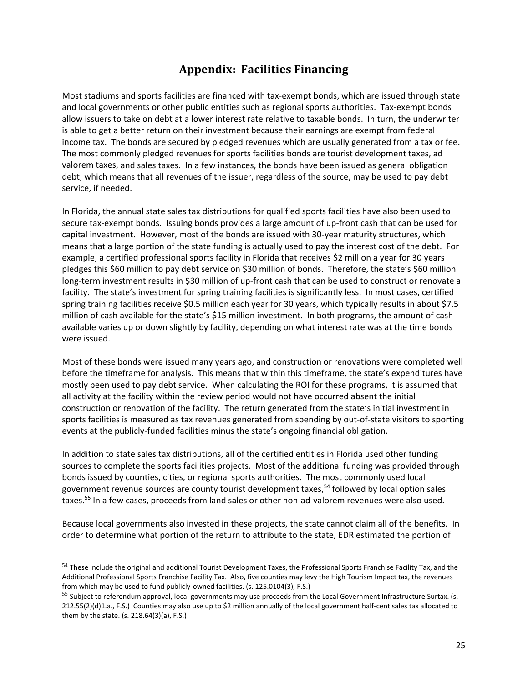## **Appendix: Facilities Financing**

Most stadiums and sports facilities are financed with tax‐exempt bonds, which are issued through state and local governments or other public entities such as regional sports authorities. Tax-exempt bonds allow issuers to take on debt at a lower interest rate relative to taxable bonds. In turn, the underwriter is able to get a better return on their investment because their earnings are exempt from federal income tax. The bonds are secured by pledged revenues which are usually generated from a tax or fee. The most commonly pledged revenues for sports facilities bonds are tourist development taxes, ad valorem taxes, and sales taxes. In a few instances, the bonds have been issued as general obligation debt, which means that all revenues of the issuer, regardless of the source, may be used to pay debt service, if needed.

In Florida, the annual state sales tax distributions for qualified sports facilities have also been used to secure tax-exempt bonds. Issuing bonds provides a large amount of up-front cash that can be used for capital investment. However, most of the bonds are issued with 30‐year maturity structures, which means that a large portion of the state funding is actually used to pay the interest cost of the debt. For example, a certified professional sports facility in Florida that receives \$2 million a year for 30 years pledges this \$60 million to pay debt service on \$30 million of bonds. Therefore, the state's \$60 million long-term investment results in \$30 million of up-front cash that can be used to construct or renovate a facility. The state's investment for spring training facilities is significantly less. In most cases, certified spring training facilities receive \$0.5 million each year for 30 years, which typically results in about \$7.5 million of cash available for the state's \$15 million investment. In both programs, the amount of cash available varies up or down slightly by facility, depending on what interest rate was at the time bonds were issued.

Most of these bonds were issued many years ago, and construction or renovations were completed well before the timeframe for analysis. This means that within this timeframe, the state's expenditures have mostly been used to pay debt service. When calculating the ROI for these programs, it is assumed that all activity at the facility within the review period would not have occurred absent the initial construction or renovation of the facility. The return generated from the state's initial investment in sports facilities is measured as tax revenues generated from spending by out-of-state visitors to sporting events at the publicly-funded facilities minus the state's ongoing financial obligation.

In addition to state sales tax distributions, all of the certified entities in Florida used other funding sources to complete the sports facilities projects. Most of the additional funding was provided through bonds issued by counties, cities, or regional sports authorities. The most commonly used local government revenue sources are county tourist development taxes,<sup>54</sup> followed by local option sales taxes.<sup>55</sup> In a few cases, proceeds from land sales or other non-ad-valorem revenues were also used.

Because local governments also invested in these projects, the state cannot claim all of the benefits. In order to determine what portion of the return to attribute to the state, EDR estimated the portion of

<sup>54</sup> These include the original and additional Tourist Development Taxes, the Professional Sports Franchise Facility Tax, and the Additional Professional Sports Franchise Facility Tax. Also, five counties may levy the High Tourism Impact tax, the revenues from which may be used to fund publicly-owned facilities. (s. 125.0104(3), F.S.)

<sup>&</sup>lt;sup>55</sup> Subject to referendum approval, local governments may use proceeds from the Local Government Infrastructure Surtax. (s. 212.55(2)(d)1.a., F.S.) Counties may also use up to \$2 million annually of the local government half‐cent sales tax allocated to them by the state. (s. 218.64(3)(a), F.S.)